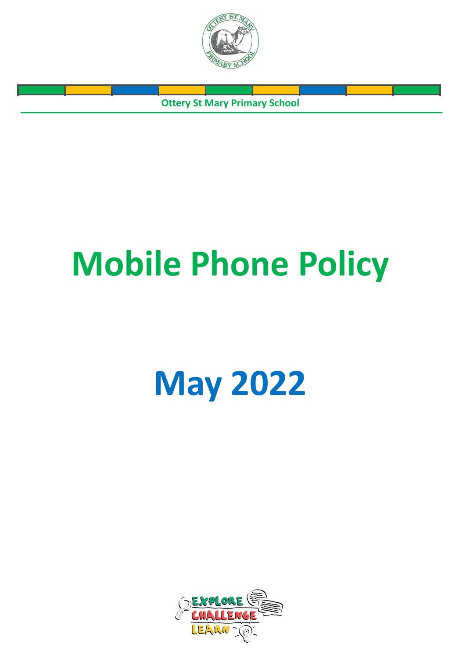

**Ottery St Mary Primary School**

# **Mobile Phone Policy**

## **May 2022**

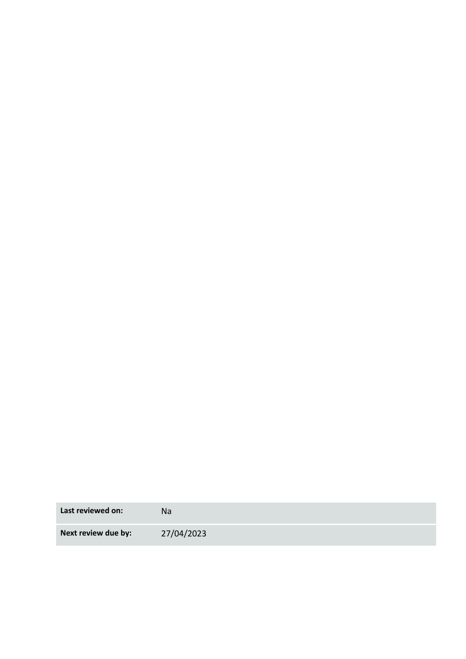**Last reviewed on:** Na **Next review due by:** 27/04/2023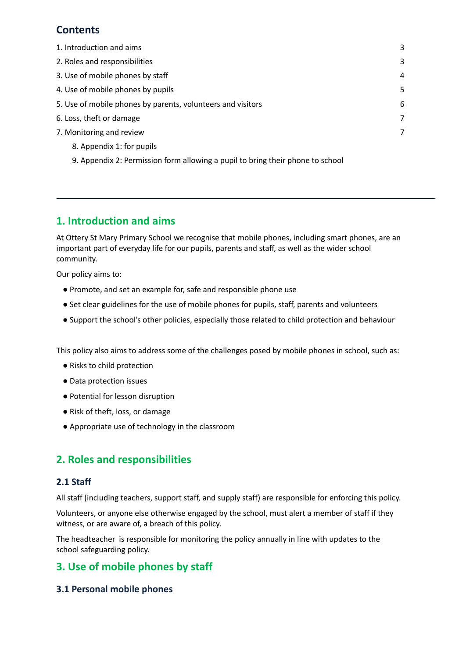## **Contents**

| 1. Introduction and aims                                                       | 3 |
|--------------------------------------------------------------------------------|---|
| 2. Roles and responsibilities                                                  | 3 |
| 3. Use of mobile phones by staff                                               | 4 |
| 4. Use of mobile phones by pupils                                              | 5 |
| 5. Use of mobile phones by parents, volunteers and visitors                    | 6 |
| 6. Loss, theft or damage                                                       | 7 |
| 7. Monitoring and review                                                       | 7 |
| 8. Appendix 1: for pupils                                                      |   |
| 9. Appendix 2: Permission form allowing a pupil to bring their phone to school |   |

### <span id="page-2-0"></span>**1. Introduction and aims**

At Ottery St Mary Primary School we recognise that mobile phones, including smart phones, are an important part of everyday life for our pupils, parents and staff, as well as the wider school community.

Our policy aims to:

- Promote, and set an example for, safe and responsible phone use
- Set clear guidelines for the use of mobile phones for pupils, staff, parents and volunteers
- Support the school's other policies, especially those related to child protection and behaviour

This policy also aims to address some of the challenges posed by mobile phones in school, such as:

- Risks to child protection
- Data protection issues
- Potential for lesson disruption
- Risk of theft, loss, or damage
- <span id="page-2-1"></span>● Appropriate use of technology in the classroom

## **2. Roles and responsibilities**

#### **2.1 Staff**

All staff (including teachers, support staff, and supply staff) are responsible for enforcing this policy.

Volunteers, or anyone else otherwise engaged by the school, must alert a member of staff if they witness, or are aware of, a breach of this policy.

The headteacher is responsible for monitoring the policy annually in line with updates to the school safeguarding policy.

## **3. Use of mobile phones by staff**

#### **3.1 Personal mobile phones**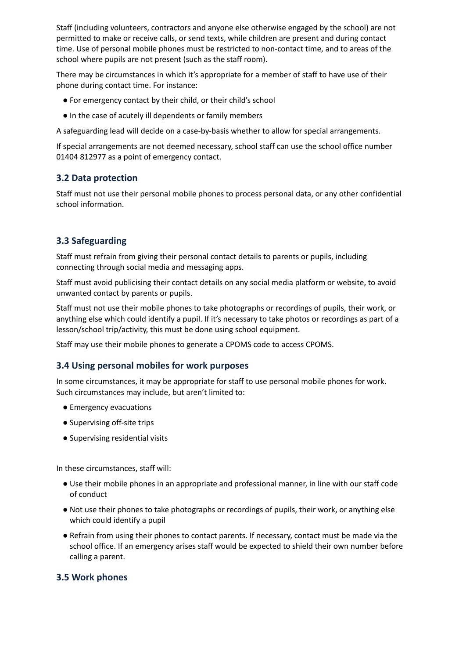Staff (including volunteers, contractors and anyone else otherwise engaged by the school) are not permitted to make or receive calls, or send texts, while children are present and during contact time. Use of personal mobile phones must be restricted to non-contact time, and to areas of the school where pupils are not present (such as the staff room).

There may be circumstances in which it's appropriate for a member of staff to have use of their phone during contact time. For instance:

- For emergency contact by their child, or their child's school
- In the case of acutely ill dependents or family members

A safeguarding lead will decide on a case-by-basis whether to allow for special arrangements.

If special arrangements are not deemed necessary, school staff can use the school office number 01404 812977 as a point of emergency contact.

#### **3.2 Data protection**

Staff must not use their personal mobile phones to process personal data, or any other confidential school information.

#### **3.3 Safeguarding**

Staff must refrain from giving their personal contact details to parents or pupils, including connecting through social media and messaging apps.

Staff must avoid publicising their contact details on any social media platform or website, to avoid unwanted contact by parents or pupils.

Staff must not use their mobile phones to take photographs or recordings of pupils, their work, or anything else which could identify a pupil. If it's necessary to take photos or recordings as part of a lesson/school trip/activity, this must be done using school equipment.

Staff may use their mobile phones to generate a CPOMS code to access CPOMS.

#### **3.4 Using personal mobiles for work purposes**

In some circumstances, it may be appropriate for staff to use personal mobile phones for work. Such circumstances may include, but aren't limited to:

- Emergency evacuations
- Supervising off-site trips
- Supervising residential visits

In these circumstances, staff will:

- Use their mobile phones in an appropriate and professional manner, in line with our staff code of conduct
- Not use their phones to take photographs or recordings of pupils, their work, or anything else which could identify a pupil
- Refrain from using their phones to contact parents. If necessary, contact must be made via the school office. If an emergency arises staff would be expected to shield their own number before calling a parent.

#### **3.5 Work phones**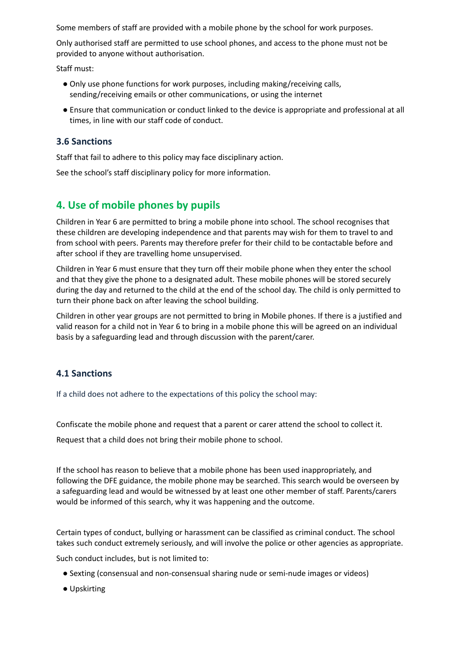Some members of staff are provided with a mobile phone by the school for work purposes.

Only authorised staff are permitted to use school phones, and access to the phone must not be provided to anyone without authorisation.

Staff must:

- Only use phone functions for work purposes, including making/receiving calls, sending/receiving emails or other communications, or using the internet
- Ensure that communication or conduct linked to the device is appropriate and professional at all times, in line with our staff code of conduct.

#### **3.6 Sanctions**

Staff that fail to adhere to this policy may face disciplinary action.

<span id="page-4-0"></span>See the school's staff disciplinary policy for more information.

## **4. Use of mobile phones by pupils**

Children in Year 6 are permitted to bring a mobile phone into school. The school recognises that these children are developing independence and that parents may wish for them to travel to and from school with peers. Parents may therefore prefer for their child to be contactable before and after school if they are travelling home unsupervised.

Children in Year 6 must ensure that they turn off their mobile phone when they enter the school and that they give the phone to a designated adult. These mobile phones will be stored securely during the day and returned to the child at the end of the school day. The child is only permitted to turn their phone back on after leaving the school building.

Children in other year groups are not permitted to bring in Mobile phones. If there is a justified and valid reason for a child not in Year 6 to bring in a mobile phone this will be agreed on an individual basis by a safeguarding lead and through discussion with the parent/carer.

#### **4.1 Sanctions**

If a child does not adhere to the expectations of this policy the school may:

Confiscate the mobile phone and request that a parent or carer attend the school to collect it.

Request that a child does not bring their mobile phone to school.

If the school has reason to believe that a mobile phone has been used inappropriately, and following the DFE guidance, the mobile phone may be searched. This search would be overseen by a safeguarding lead and would be witnessed by at least one other member of staff. Parents/carers would be informed of this search, why it was happening and the outcome.

Certain types of conduct, bullying or harassment can be classified as criminal conduct. The school takes such conduct extremely seriously, and will involve the police or other agencies as appropriate.

Such conduct includes, but is not limited to:

- Sexting (consensual and non-consensual sharing nude or semi-nude images or videos)
- Upskirting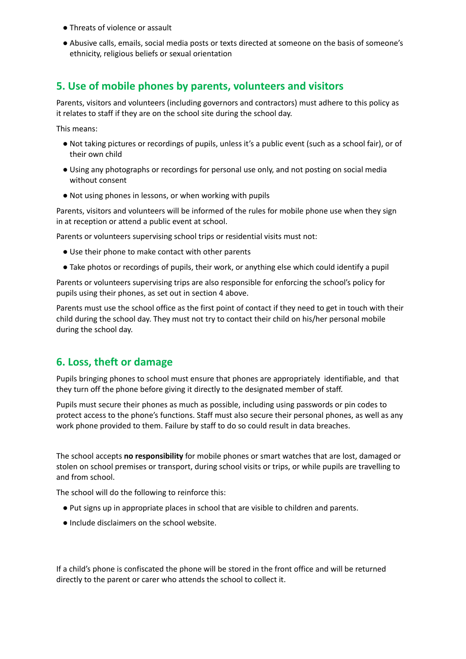- Threats of violence or assault
- Abusive calls, emails, social media posts or texts directed at someone on the basis of someone's ethnicity, religious beliefs or sexual orientation

#### <span id="page-5-0"></span>**5. Use of mobile phones by parents, volunteers and visitors**

Parents, visitors and volunteers (including governors and contractors) must adhere to this policy as it relates to staff if they are on the school site during the school day.

This means:

- Not taking pictures or recordings of pupils, unless it's a public event (such as a school fair), or of their own child
- Using any photographs or recordings for personal use only, and not posting on social media without consent
- Not using phones in lessons, or when working with pupils

Parents, visitors and volunteers will be informed of the rules for mobile phone use when they sign in at reception or attend a public event at school.

Parents or volunteers supervising school trips or residential visits must not:

- Use their phone to make contact with other parents
- Take photos or recordings of pupils, their work, or anything else which could identify a pupil

Parents or volunteers supervising trips are also responsible for enforcing the school's policy for pupils using their phones, as set out in section 4 above.

Parents must use the school office as the first point of contact if they need to get in touch with their child during the school day. They must not try to contact their child on his/her personal mobile during the school day.

#### <span id="page-5-1"></span>**6. Loss, theft or damage**

Pupils bringing phones to school must ensure that phones are appropriately identifiable, and that they turn off the phone before giving it directly to the designated member of staff.

Pupils must secure their phones as much as possible, including using passwords or pin codes to protect access to the phone's functions. Staff must also secure their personal phones, as well as any work phone provided to them. Failure by staff to do so could result in data breaches.

The school accepts **no responsibility** for mobile phones or smart watches that are lost, damaged or stolen on school premises or transport, during school visits or trips, or while pupils are travelling to and from school.

The school will do the following to reinforce this:

- Put signs up in appropriate places in school that are visible to children and parents.
- Include disclaimers on the school website.

If a child's phone is confiscated the phone will be stored in the front office and will be returned directly to the parent or carer who attends the school to collect it.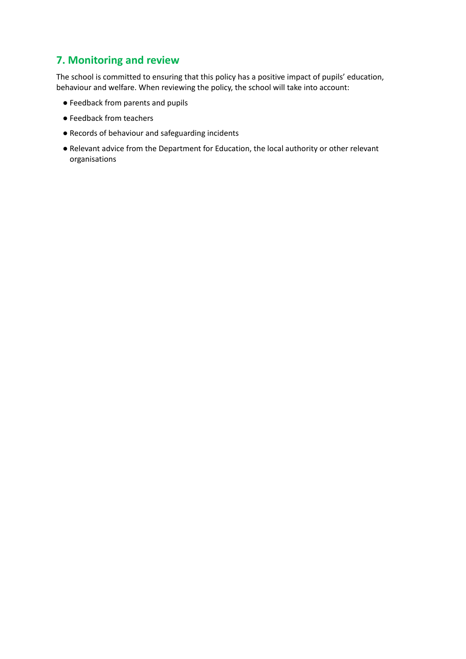## <span id="page-6-0"></span>**7. Monitoring and review**

The school is committed to ensuring that this policy has a positive impact of pupils' education, behaviour and welfare. When reviewing the policy, the school will take into account:

- Feedback from parents and pupils
- Feedback from teachers
- Records of behaviour and safeguarding incidents
- Relevant advice from the Department for Education, the local authority or other relevant organisations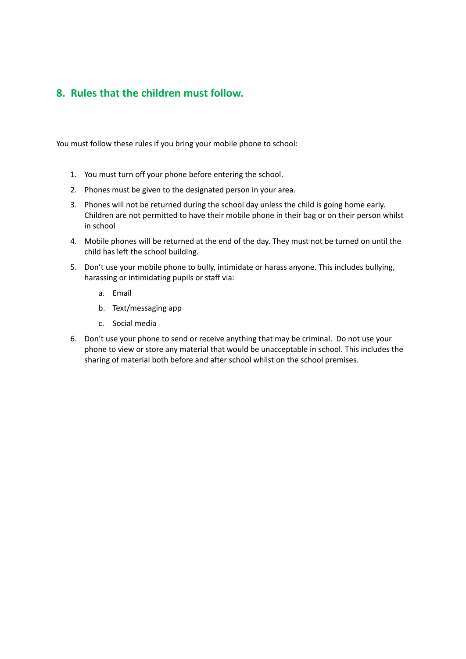## **8. Rules that the children must follow.**

You must follow these rules if you bring your mobile phone to school:

- 1. You must turn off your phone before entering the school.
- 2. Phones must be given to the designated person in your area.
- 3. Phones will not be returned during the school day unless the child is going home early. Children are not permitted to have their mobile phone in their bag or on their person whilst in school
- 4. Mobile phones will be returned at the end of the day. They must not be turned on until the child has left the school building.
- 5. Don't use your mobile phone to bully, intimidate or harass anyone. This includes bullying, harassing or intimidating pupils or staff via:
	- a. Email
	- b. Text/messaging app
	- c. Social media
- <span id="page-7-0"></span>6. Don't use your phone to send or receive anything that may be criminal. Do not use your phone to view or store any material that would be unacceptable in school. This includes the sharing of material both before and after school whilst on the school premises.